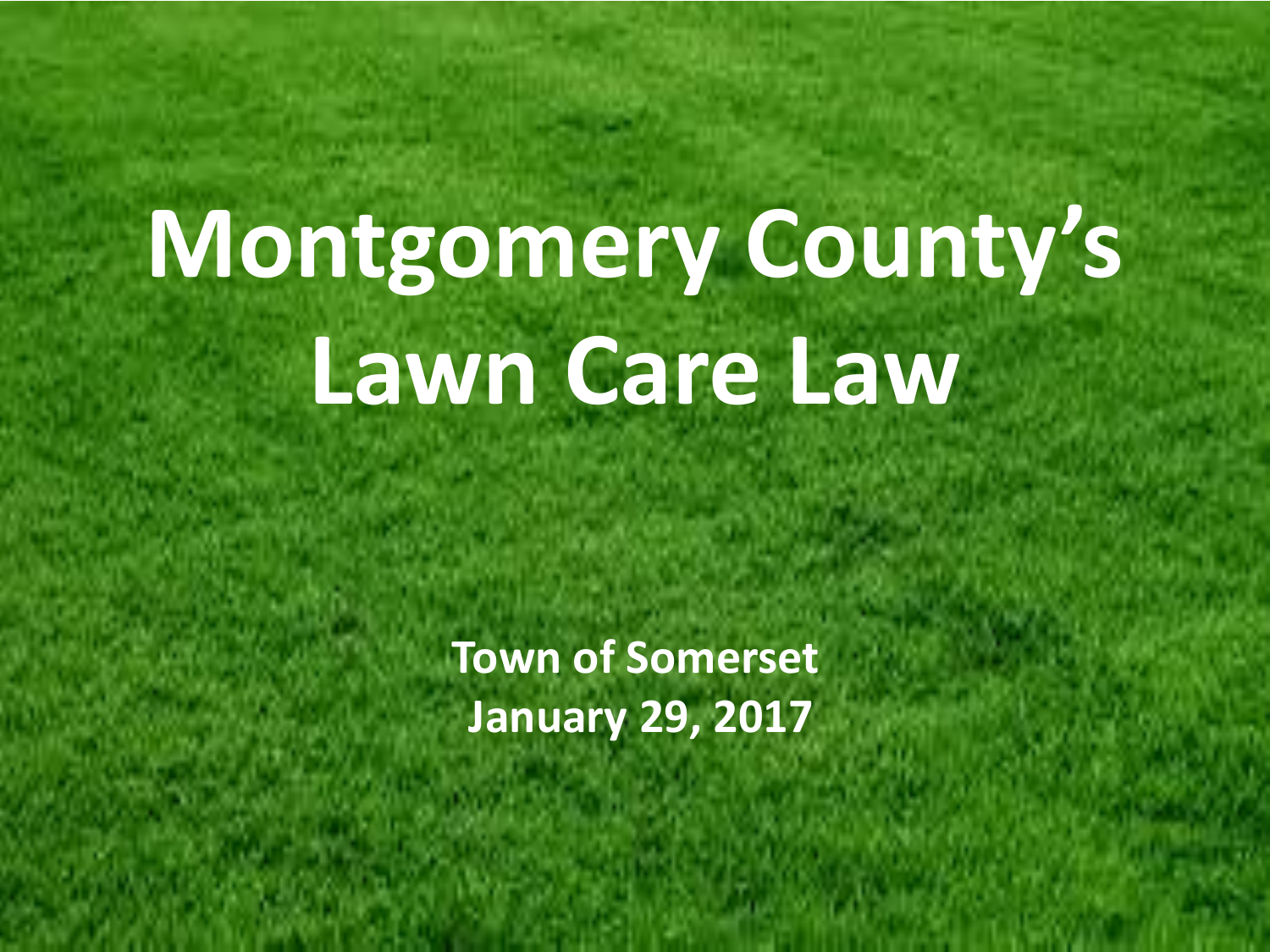# **Montgomery County's Lawn Care Law**

**Town of Somerset January 29, 2017**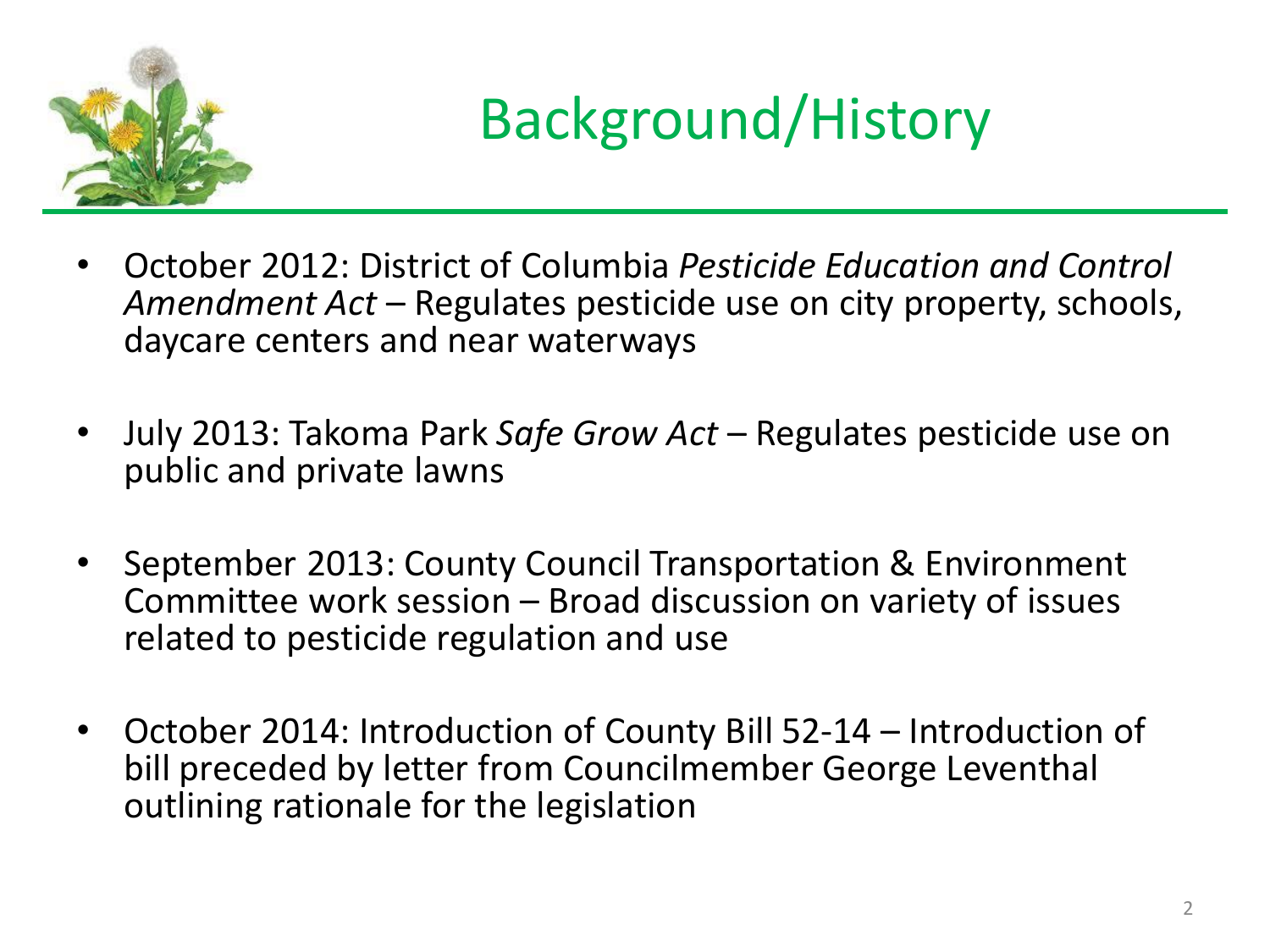

#### Background/History

- October 2012: District of Columbia *Pesticide Education and Control Amendment Act* – Regulates pesticide use on city property, schools, daycare centers and near waterways
- July 2013: Takoma Park *Safe Grow Act*  Regulates pesticide use on public and private lawns
- September 2013: County Council Transportation & Environment Committee work session – Broad discussion on variety of issues related to pesticide regulation and use
- October 2014: Introduction of County Bill 52-14 Introduction of bill preceded by letter from Councilmember George Leventhal outlining rationale for the legislation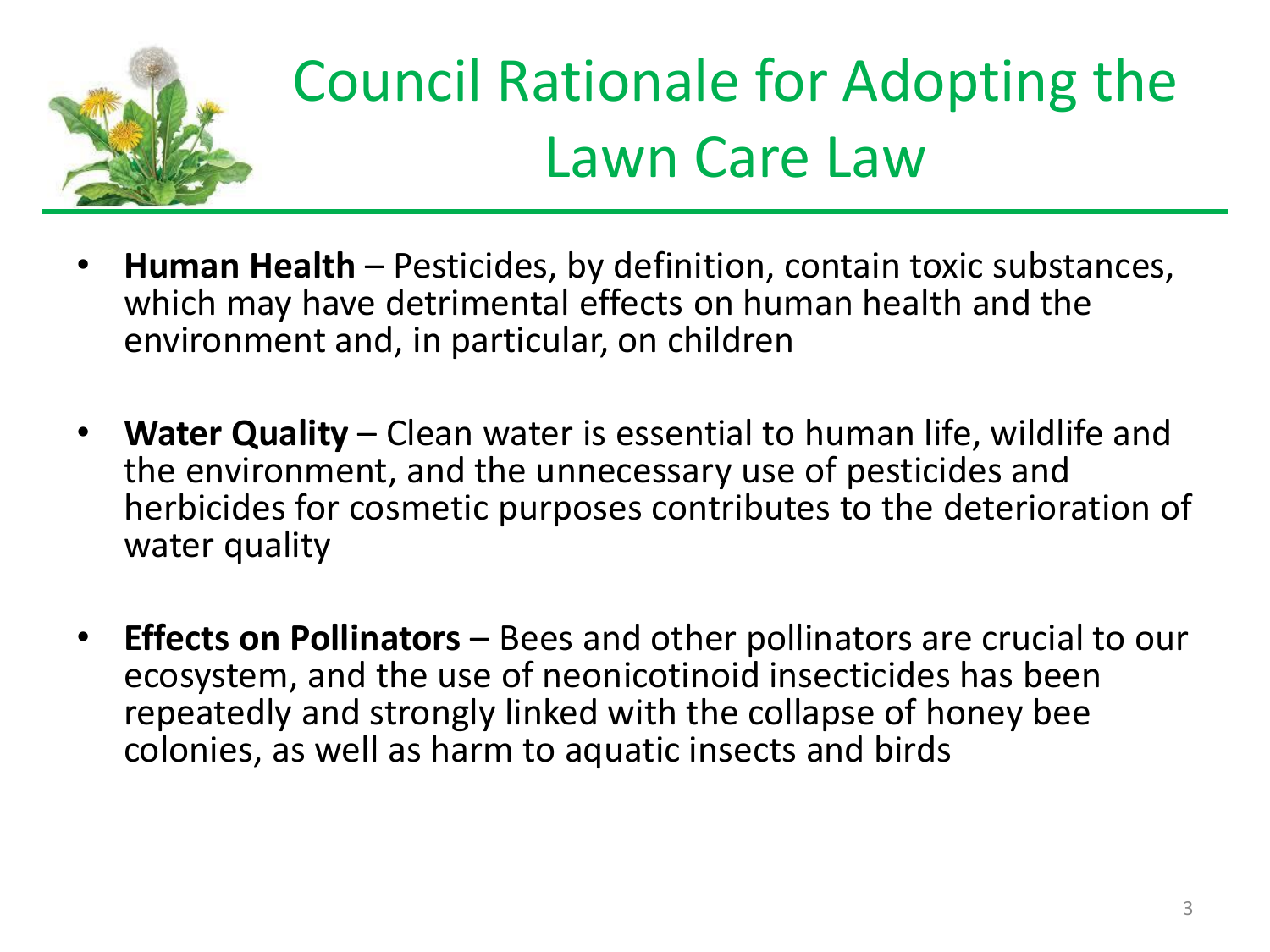

## Council Rationale for Adopting the Lawn Care Law

- **Human Health**  Pesticides, by definition, contain toxic substances, which may have detrimental effects on human health and the environment and, in particular, on children
- **Water Quality** Clean water is essential to human life, wildlife and the environment, and the unnecessary use of pesticides and herbicides for cosmetic purposes contributes to the deterioration of water quality
- **Effects on Pollinators** Bees and other pollinators are crucial to our ecosystem, and the use of neonicotinoid insecticides has been repeatedly and strongly linked with the collapse of honey bee colonies, as well as harm to aquatic insects and birds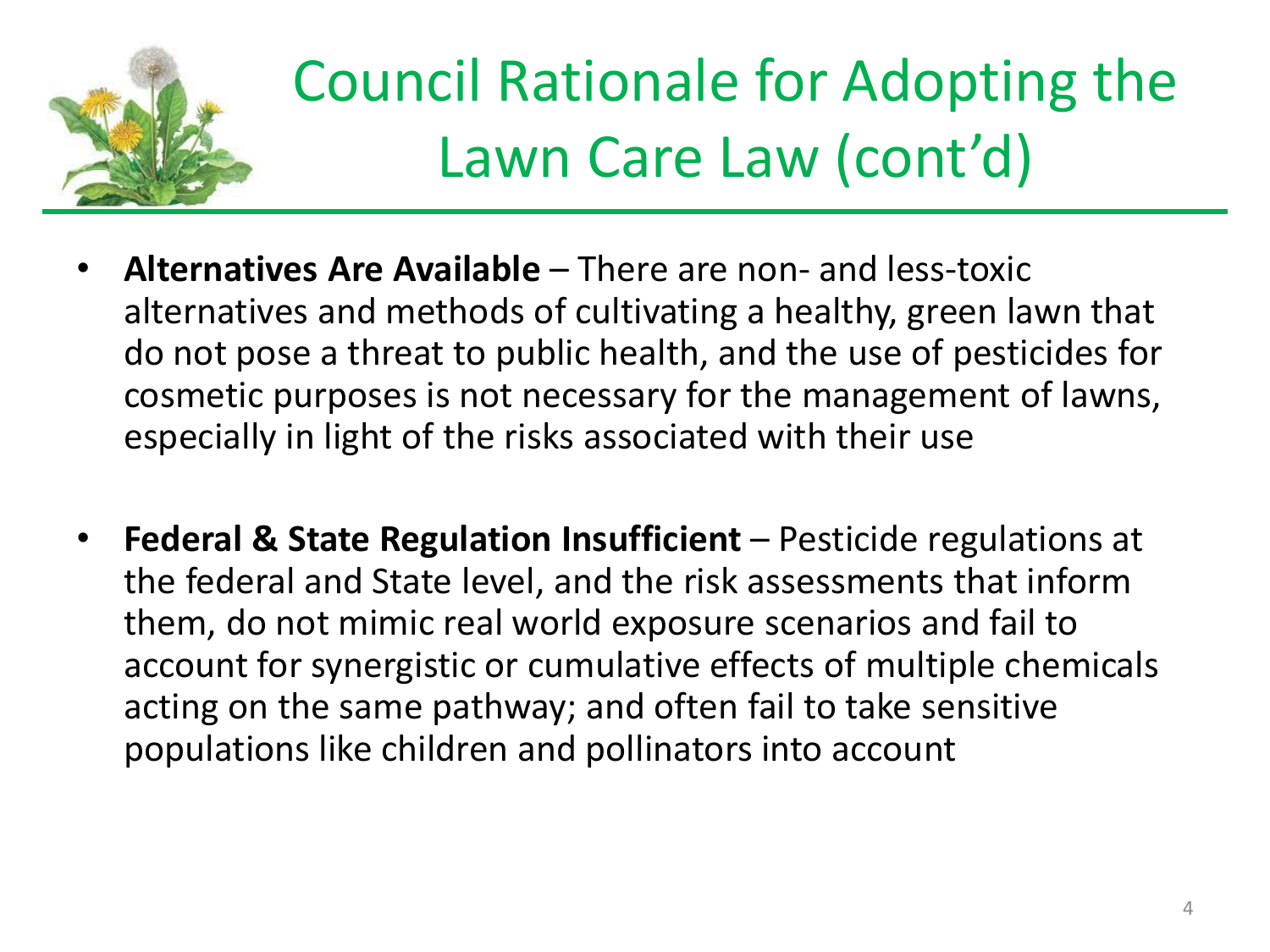

## Council Rationale for Adopting the Lawn Care Law (cont'd)

- **Alternatives Are Available**  There are non- and less-toxic alternatives and methods of cultivating a healthy, green lawn that do not pose a threat to public health, and the use of pesticides for cosmetic purposes is not necessary for the management of lawns, especially in light of the risks associated with their use
- **Federal & State Regulation Insufficient**  Pesticide regulations at the federal and State level, and the risk assessments that inform them, do not mimic real world exposure scenarios and fail to account for synergistic or cumulative effects of multiple chemicals acting on the same pathway; and often fail to take sensitive populations like children and pollinators into account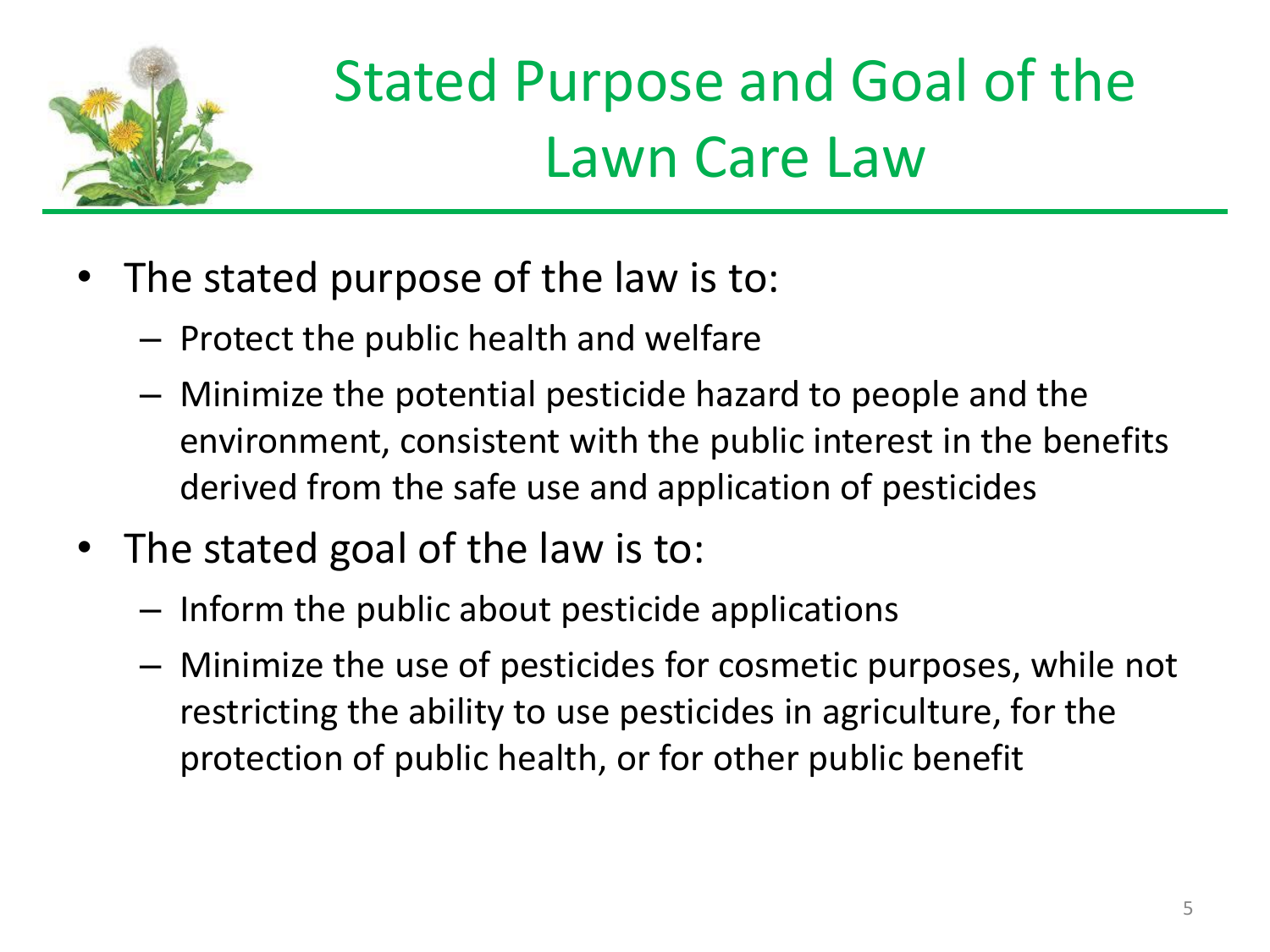

## Stated Purpose and Goal of the Lawn Care Law

- The stated purpose of the law is to:
	- Protect the public health and welfare
	- Minimize the potential pesticide hazard to people and the environment, consistent with the public interest in the benefits derived from the safe use and application of pesticides
- The stated goal of the law is to:
	- Inform the public about pesticide applications
	- Minimize the use of pesticides for cosmetic purposes, while not restricting the ability to use pesticides in agriculture, for the protection of public health, or for other public benefit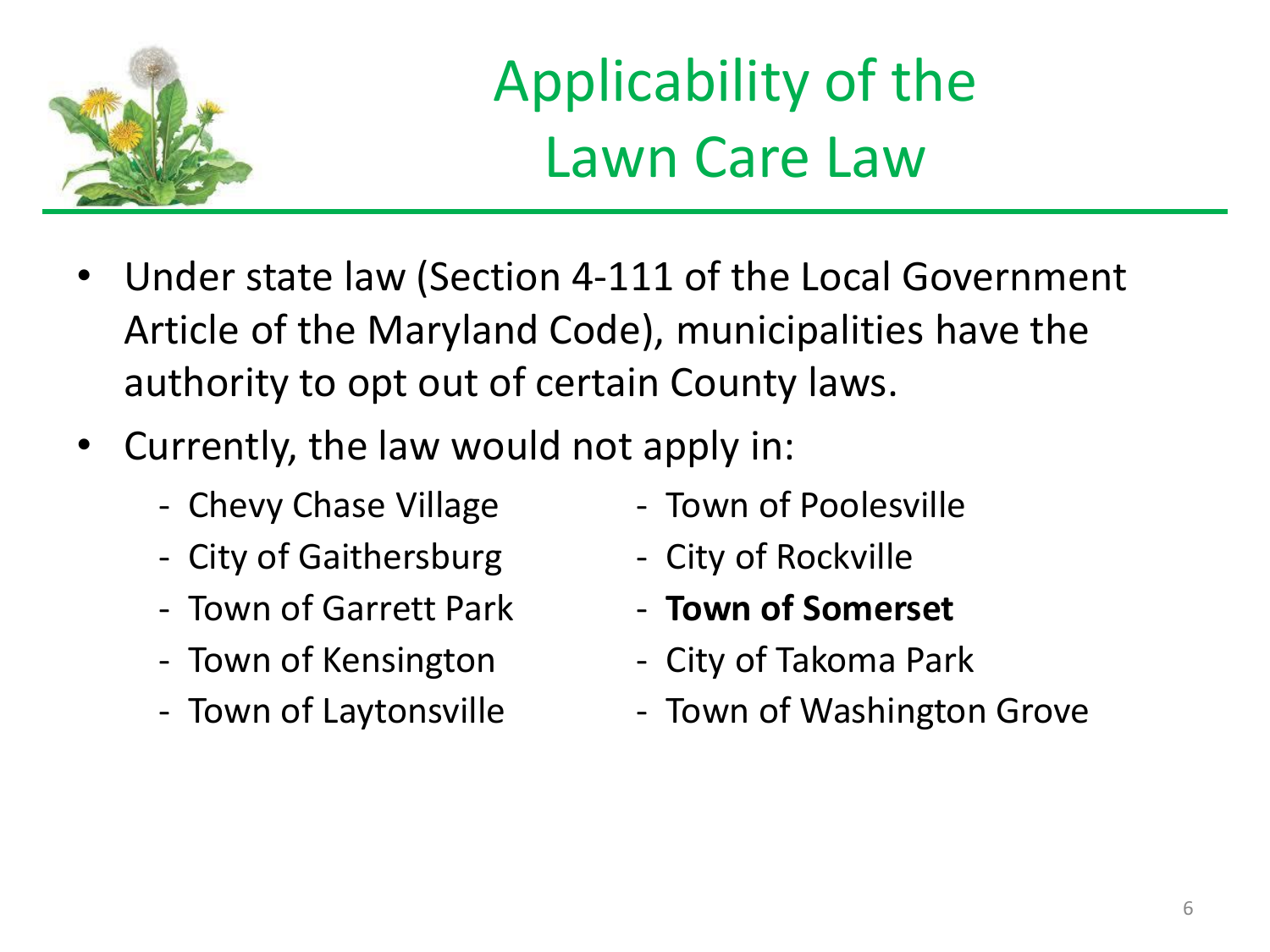

### Applicability of the Lawn Care Law

- Under state law (Section 4-111 of the Local Government Article of the Maryland Code), municipalities have the authority to opt out of certain County laws.
- Currently, the law would not apply in:
	-
	- City of Gaithersburg City of Rockville
	- Town of Garrett Park  **Town of Somerset**
	-
	-
- Chevy Chase Village Town of Poolesville
	-
	-
- Town of Kensington The City of Takoma Park
- Town of Laytonsville Town of Washington Grove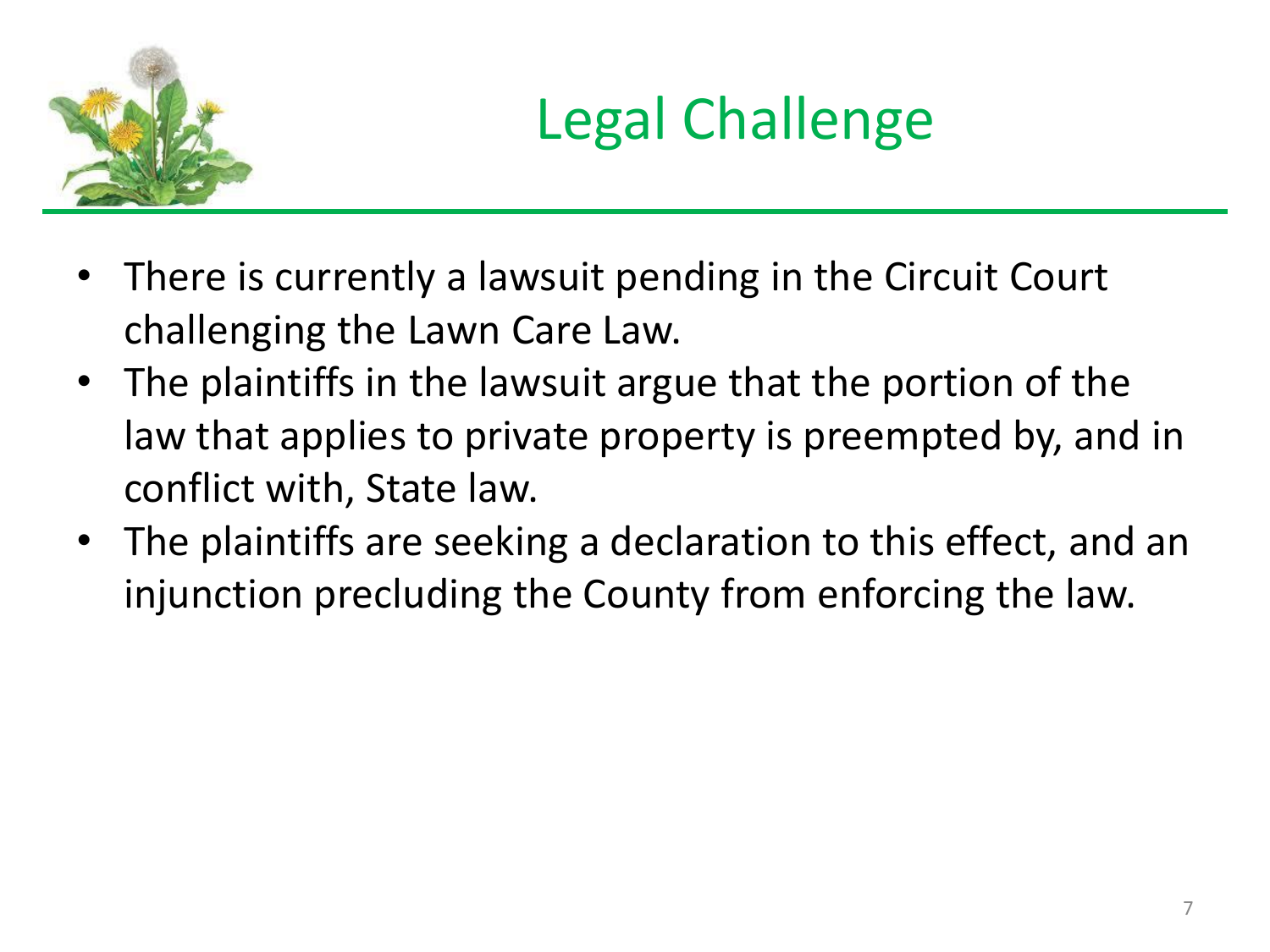

#### Legal Challenge

- There is currently a lawsuit pending in the Circuit Court challenging the Lawn Care Law.
- The plaintiffs in the lawsuit argue that the portion of the law that applies to private property is preempted by, and in conflict with, State law.
- The plaintiffs are seeking a declaration to this effect, and an injunction precluding the County from enforcing the law.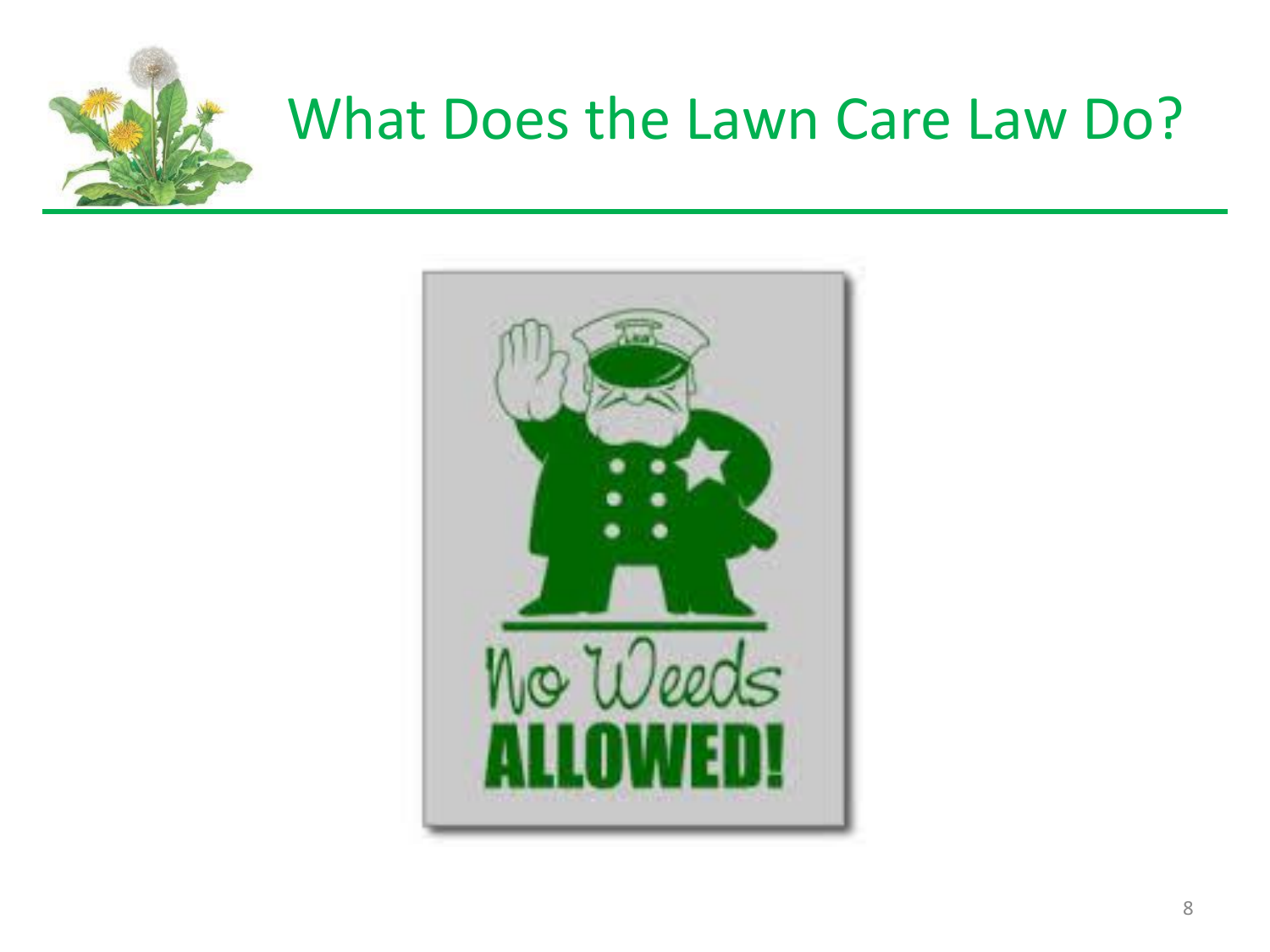

#### What Does the Lawn Care Law Do?

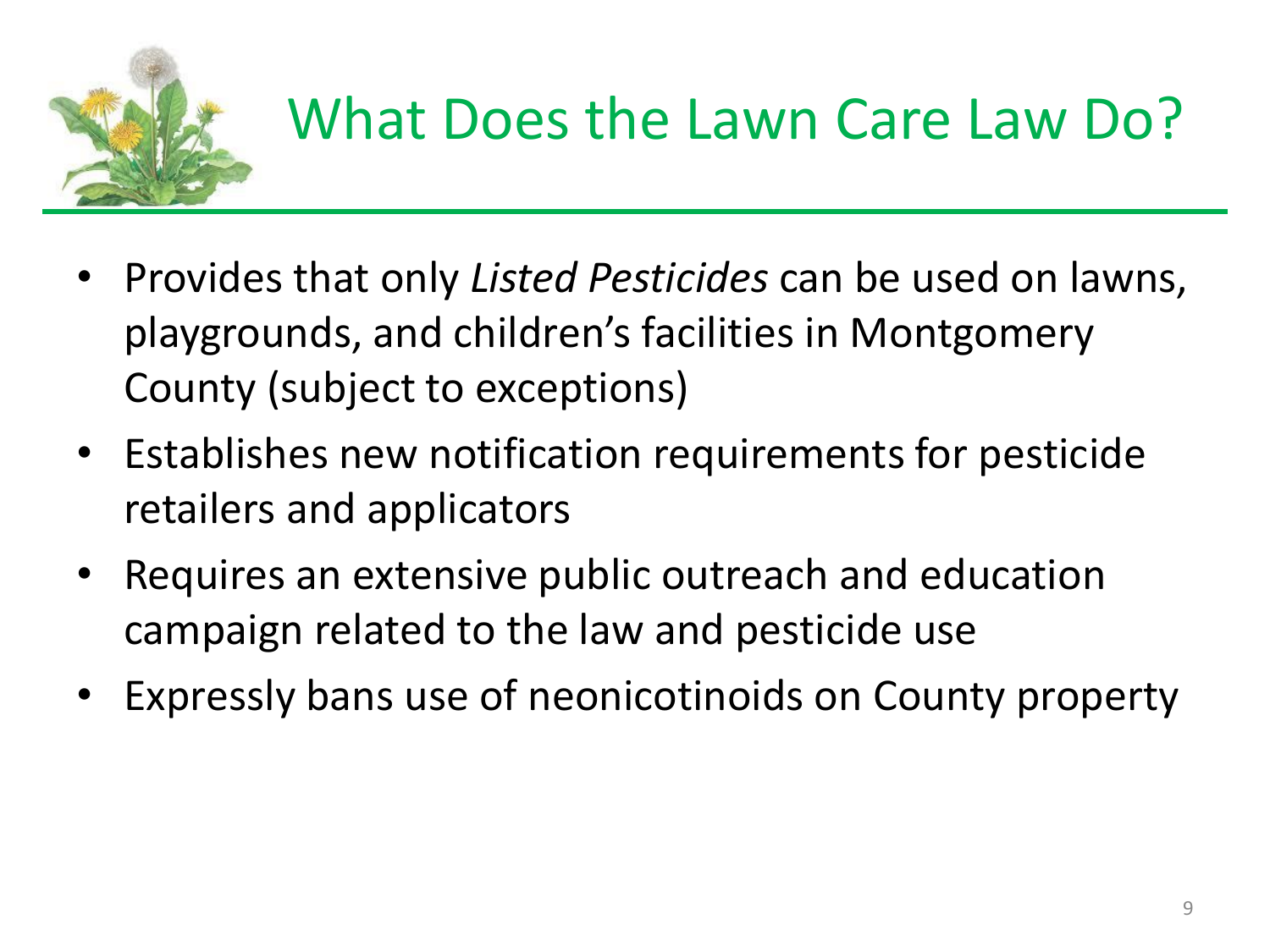

#### What Does the Lawn Care Law Do?

- Provides that only *Listed Pesticides* can be used on lawns, playgrounds, and children's facilities in Montgomery County (subject to exceptions)
- Establishes new notification requirements for pesticide retailers and applicators
- Requires an extensive public outreach and education campaign related to the law and pesticide use
- Expressly bans use of neonicotinoids on County property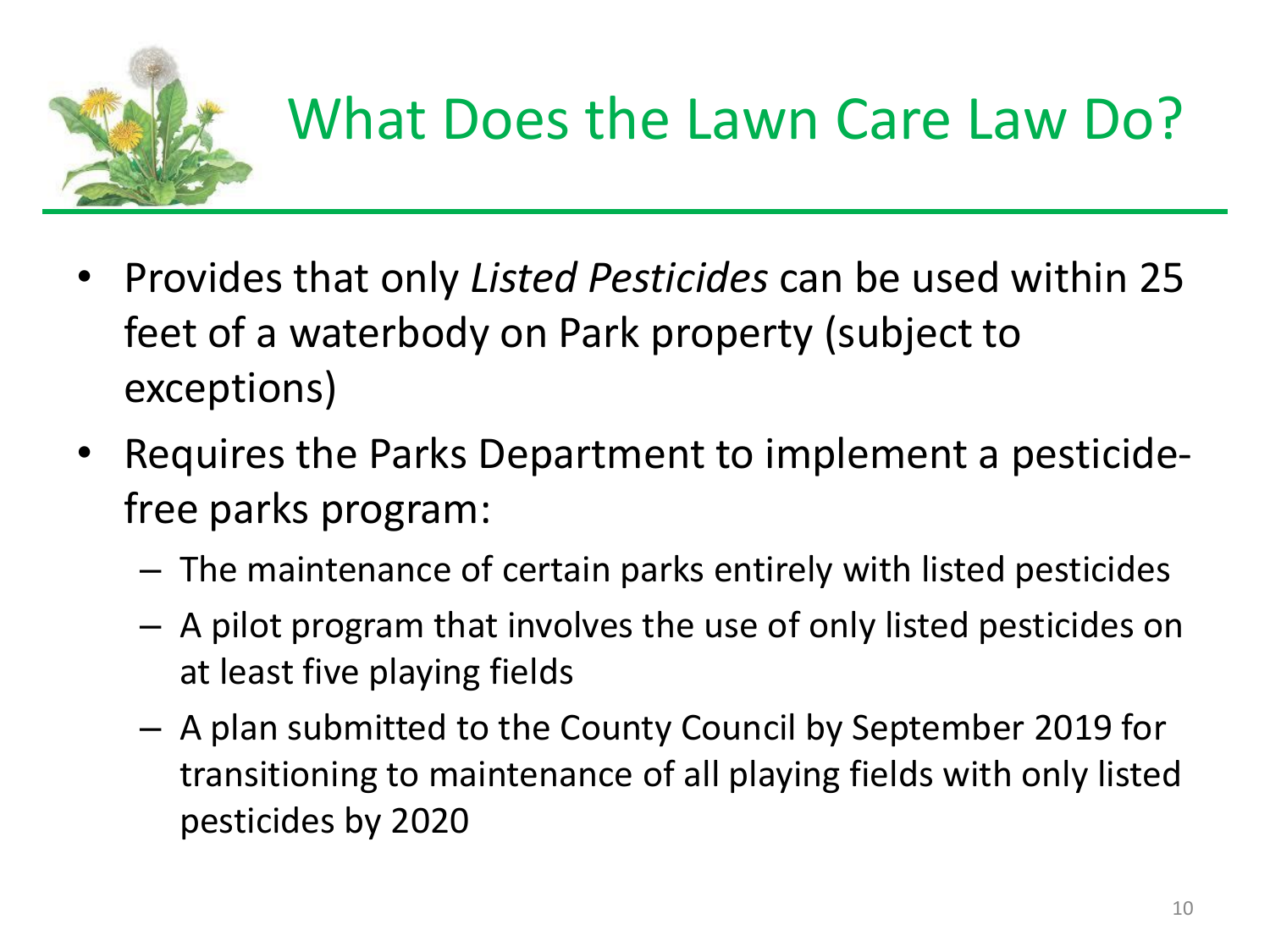

#### What Does the Lawn Care Law Do?

- Provides that only *Listed Pesticides* can be used within 25 feet of a waterbody on Park property (subject to exceptions)
- Requires the Parks Department to implement a pesticidefree parks program:
	- The maintenance of certain parks entirely with listed pesticides
	- A pilot program that involves the use of only listed pesticides on at least five playing fields
	- A plan submitted to the County Council by September 2019 for transitioning to maintenance of all playing fields with only listed pesticides by 2020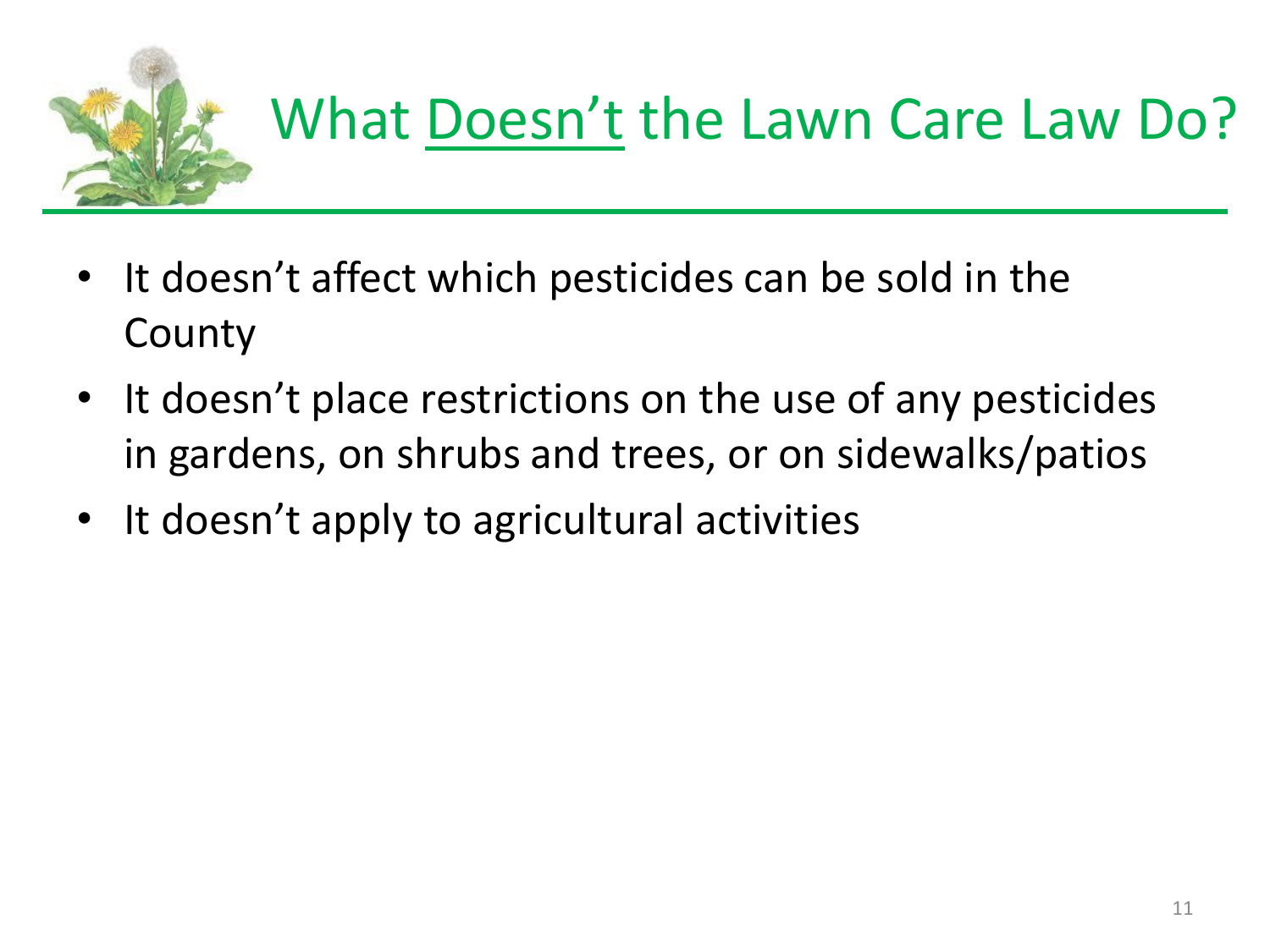

- It doesn't affect which pesticides can be sold in the County
- It doesn't place restrictions on the use of any pesticides in gardens, on shrubs and trees, or on sidewalks/patios
- It doesn't apply to agricultural activities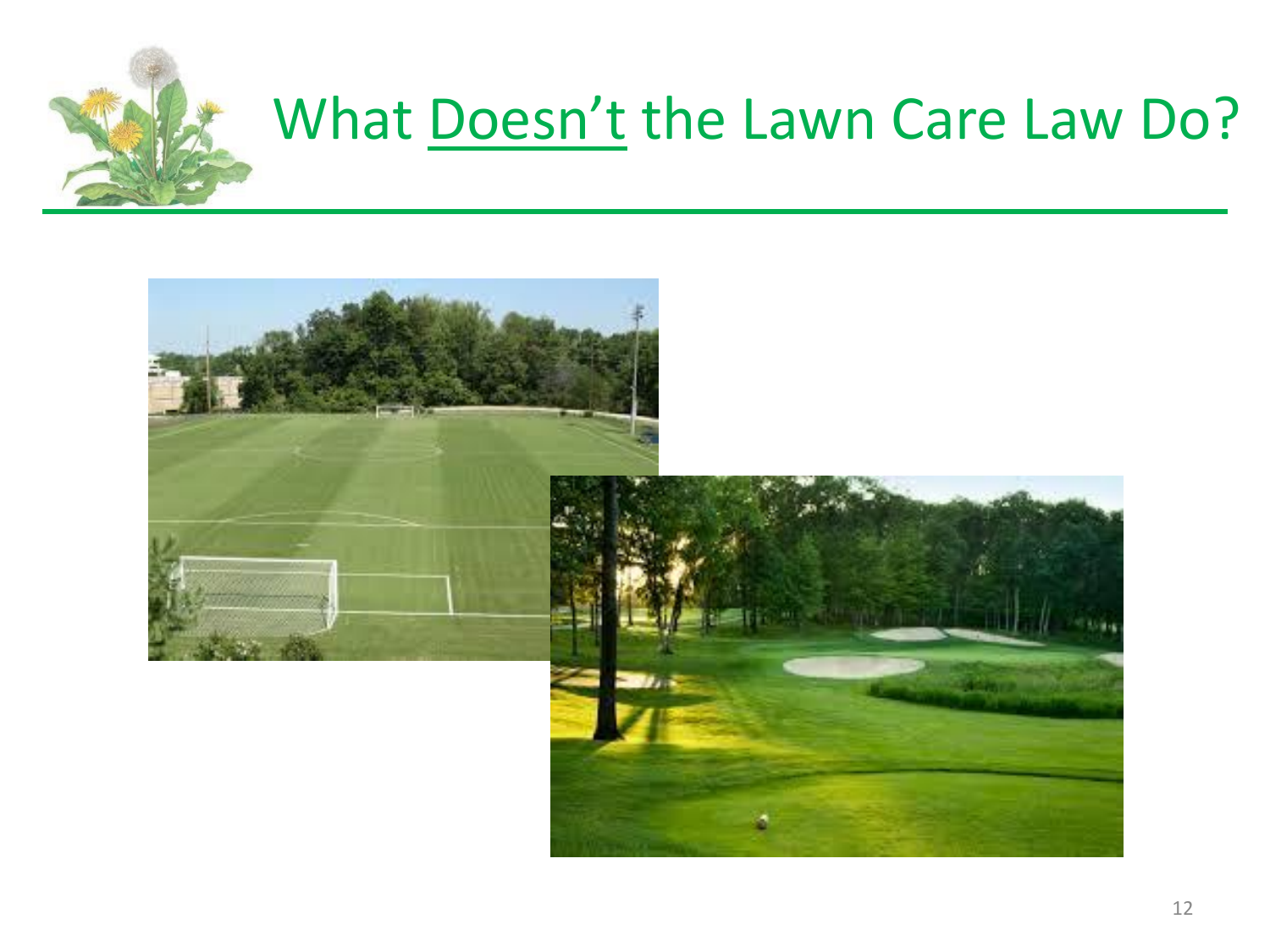

#### What Doesn't the Lawn Care Law Do?

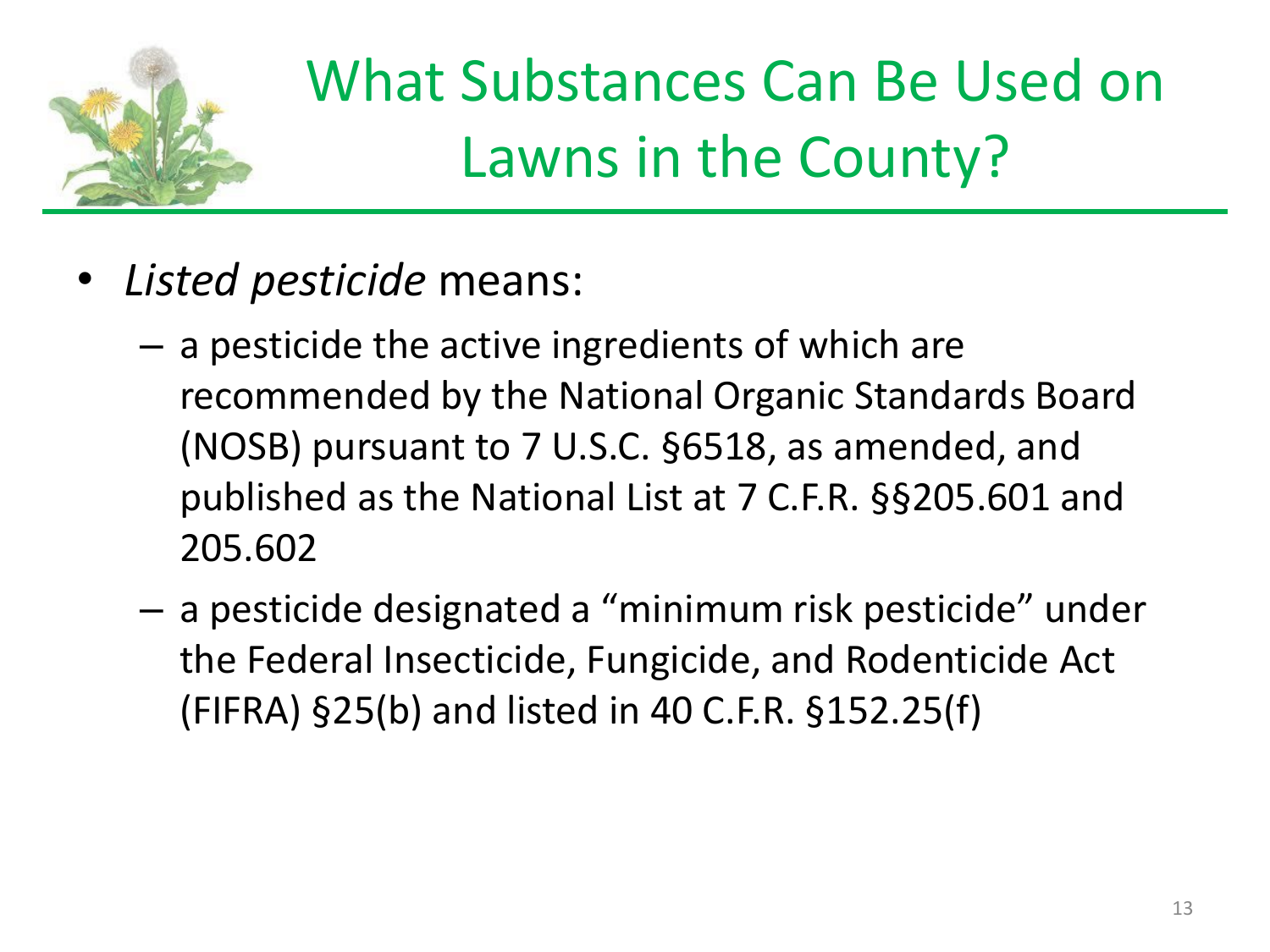

## What Substances Can Be Used on Lawns in the County?

- *Listed pesticide* means:
	- a pesticide the active ingredients of which are recommended by the National Organic Standards Board (NOSB) pursuant to 7 U.S.C. §6518, as amended, and published as the National List at 7 C.F.R. §§205.601 and 205.602
	- a pesticide designated a "minimum risk pesticide" under the Federal Insecticide, Fungicide, and Rodenticide Act (FIFRA) §25(b) and listed in 40 C.F.R. §152.25(f)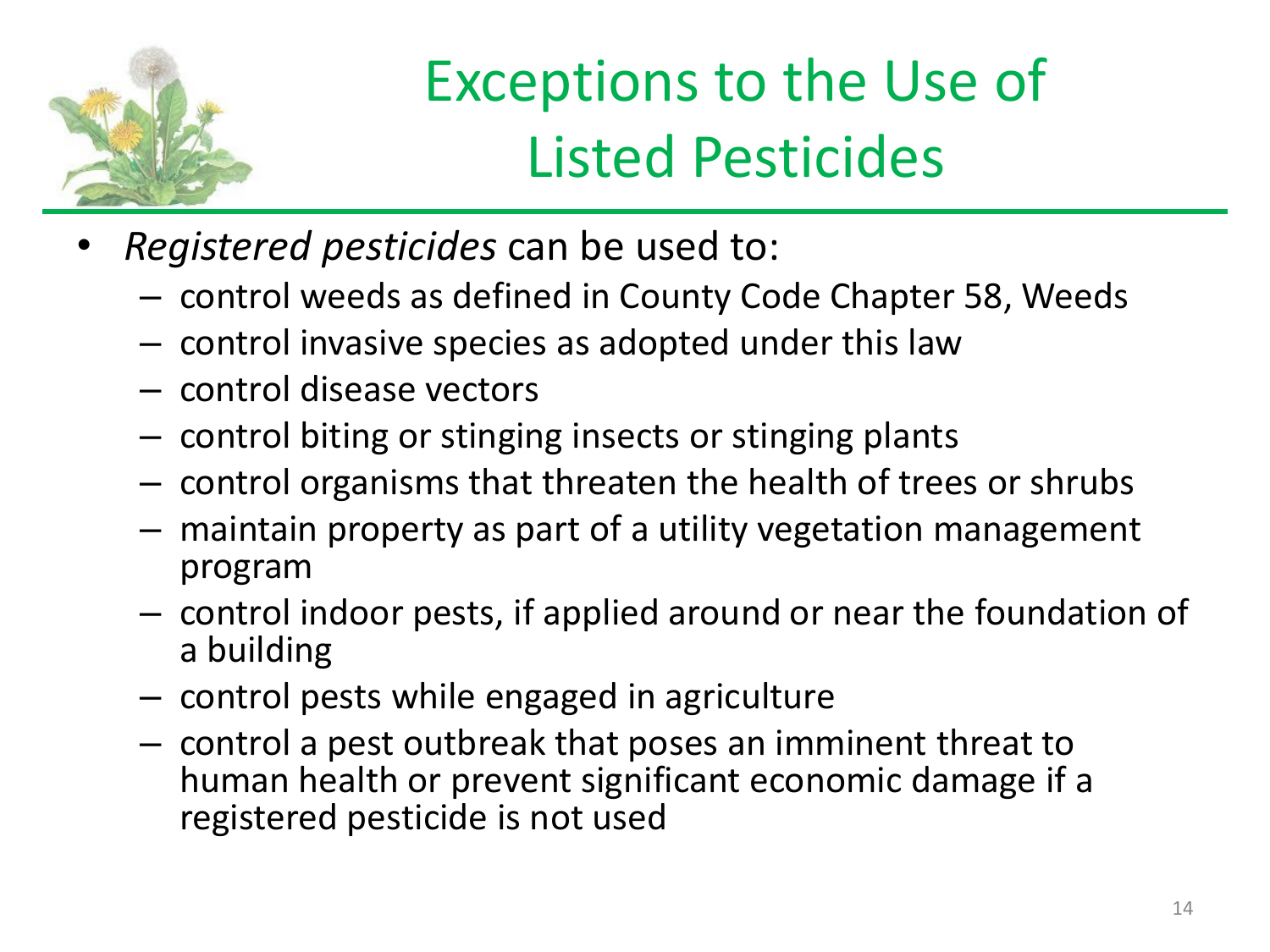

### Exceptions to the Use of Listed Pesticides

- *Registered pesticides* can be used to:
	- control weeds as defined in County Code Chapter 58, Weeds
	- control invasive species as adopted under this law
	- control disease vectors
	- control biting or stinging insects or stinging plants
	- control organisms that threaten the health of trees or shrubs
	- maintain property as part of a utility vegetation management program
	- control indoor pests, if applied around or near the foundation of a building
	- control pests while engaged in agriculture
	- control a pest outbreak that poses an imminent threat to human health or prevent significant economic damage if a registered pesticide is not used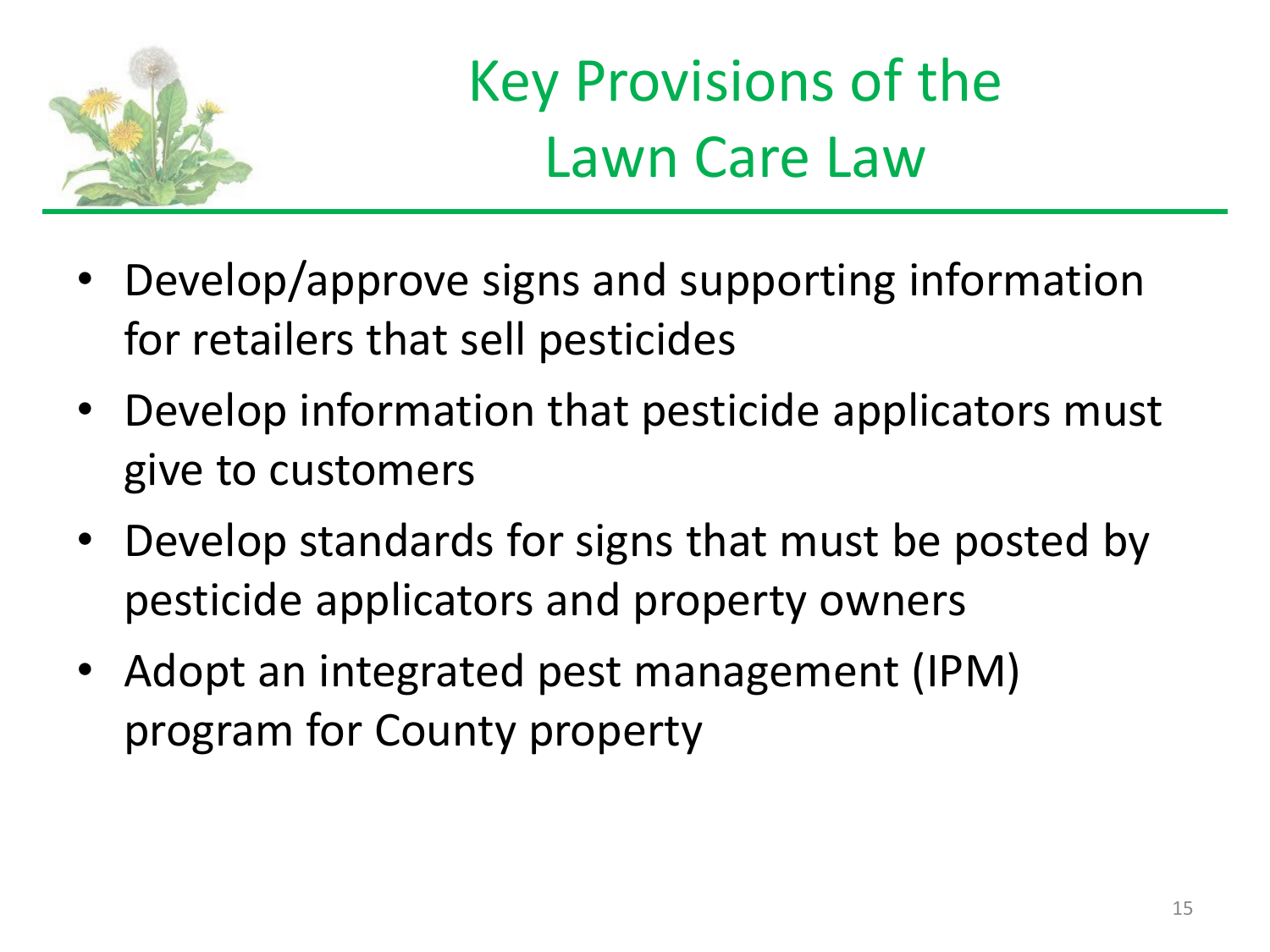

Key Provisions of the Lawn Care Law

- Develop/approve signs and supporting information for retailers that sell pesticides
- Develop information that pesticide applicators must give to customers
- Develop standards for signs that must be posted by pesticide applicators and property owners
- Adopt an integrated pest management (IPM) program for County property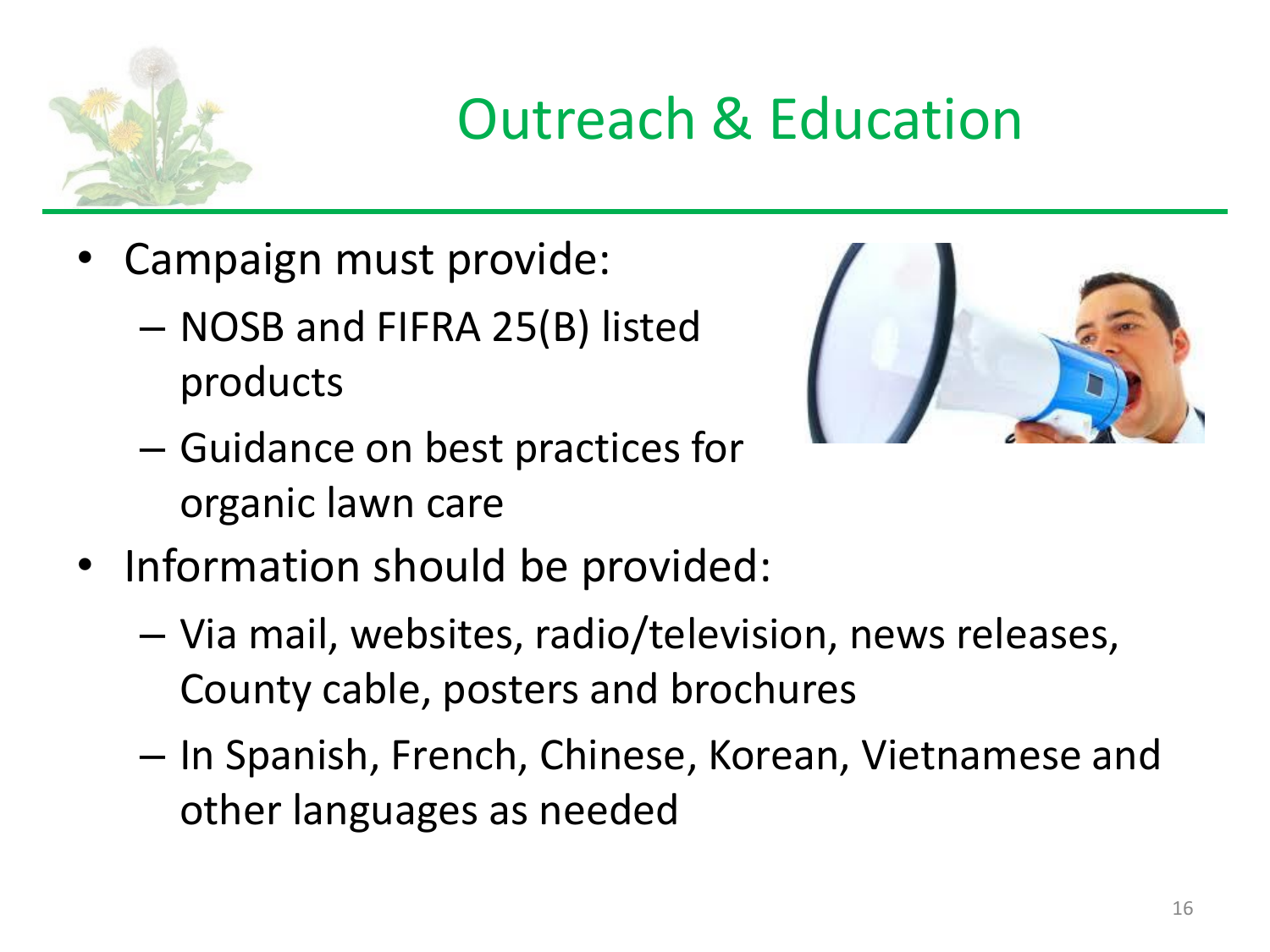

#### Outreach & Education

- Campaign must provide:
	- NOSB and FIFRA 25(B) listed products



- Guidance on best practices for organic lawn care
- Information should be provided:
	- Via mail, websites, radio/television, news releases, County cable, posters and brochures
	- In Spanish, French, Chinese, Korean, Vietnamese and other languages as needed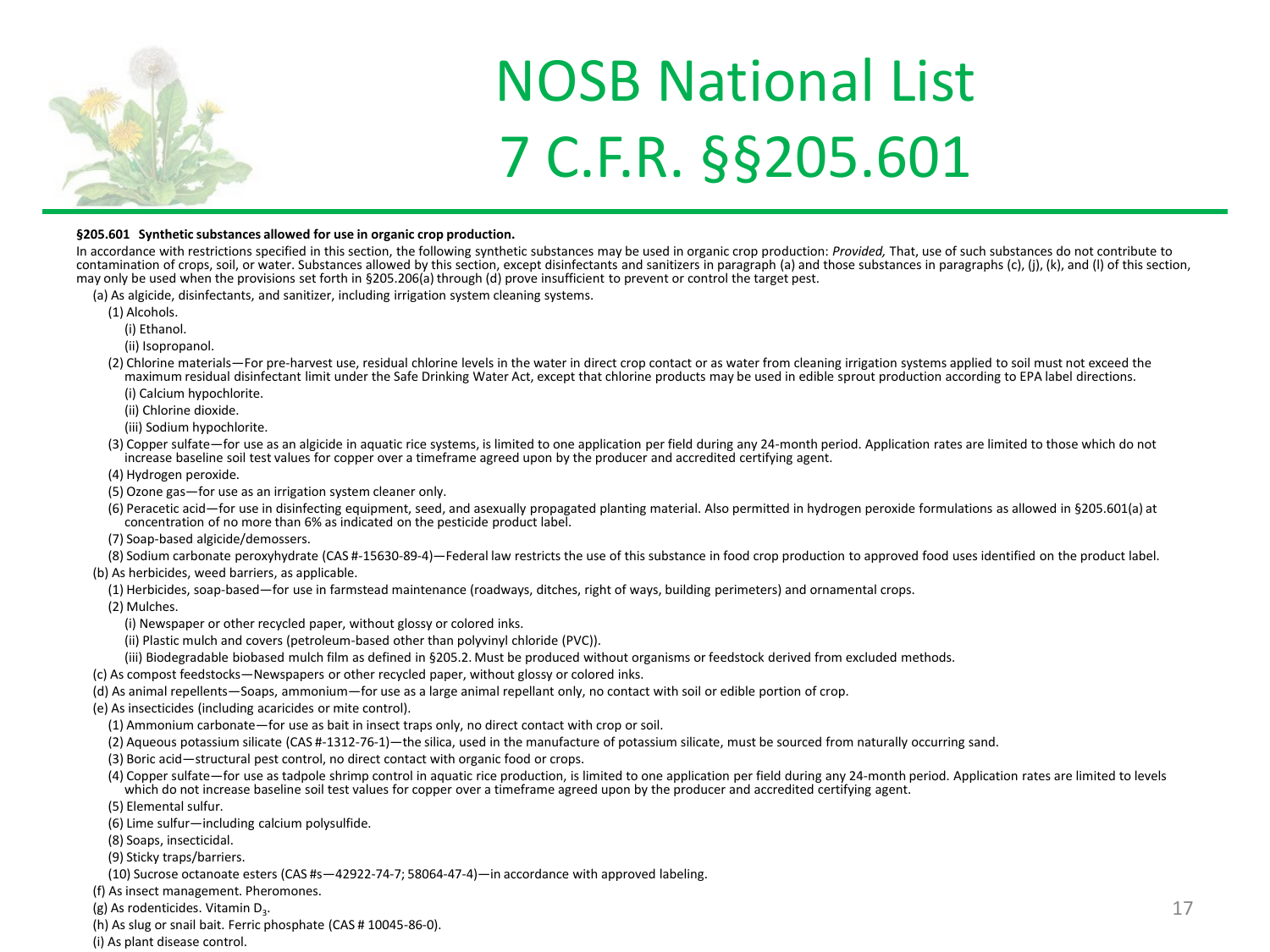

#### NOSB National List 7 C.F.R. §§205.601

#### **§205.601 Synthetic substances allowed for use in organic crop production.**

In accordance with restrictions specified in this section, the following synthetic substances may be used in organic crop production: *Provided,* That, use of such substances do not contribute to contamination of crops, soil, or water. Substances allowed by this section, except disinfectants and sanitizers in paragraph (a) and those substances in paragraphs (c), (j), (k), and (l) of this section, may only be used when the provisions set forth in §205.206(a) through (d) prove insufficient to prevent or control the target pest.

- (a) As algicide, disinfectants, and sanitizer, including irrigation system cleaning systems.
	- (1) Alcohols.
		- (i) Ethanol.

(ii) Isopropanol.

- (2) Chlorine materials—For pre-harvest use, residual chlorine levels in the water in direct crop contact or as water from cleaning irrigation systems applied to soil must not exceed the maximum residual disinfectant limit under the Safe Drinking Water Act, except that chlorine products may be used in edible sprout production according to EPA label directions.
	- (i) Calcium hypochlorite.

(ii) Chlorine dioxide.

(iii) Sodium hypochlorite.

- (3) Copper sulfate—for use as an algicide in aquatic rice systems, is limited to one application per field during any 24-month period. Application rates are limited to those which do not increase baseline soil test values for copper over a timeframe agreed upon by the producer and accredited certifying agent.
- (4) Hydrogen peroxide.
- (5) Ozone gas—for use as an irrigation system cleaner only.
- (6) Peracetic acid—for use in disinfecting equipment, seed, and asexually propagated planting material. Also permitted in hydrogen peroxide formulations as allowed in §205.601(a) at concentration of no more than 6% as indicated on the pesticide product label.
- (7) Soap-based algicide/demossers.

(8) Sodium carbonate peroxyhydrate (CAS #-15630-89-4)—Federal law restricts the use of this substance in food crop production to approved food uses identified on the product label.

- (b) As herbicides, weed barriers, as applicable.
	- (1) Herbicides, soap-based—for use in farmstead maintenance (roadways, ditches, right of ways, building perimeters) and ornamental crops.
	- (2) Mulches.

(i) Newspaper or other recycled paper, without glossy or colored inks.

- (ii) Plastic mulch and covers (petroleum-based other than polyvinyl chloride (PVC)).
- (iii) Biodegradable biobased mulch film as defined in §205.2. Must be produced without organisms or feedstock derived from excluded methods.

(c) As compost feedstocks—Newspapers or other recycled paper, without glossy or colored inks.

- (d) As animal repellents—Soaps, ammonium—for use as a large animal repellant only, no contact with soil or edible portion of crop.
- (e) As insecticides (including acaricides or mite control).
	- (1) Ammonium carbonate—for use as bait in insect traps only, no direct contact with crop or soil.
	- (2) Aqueous potassium silicate (CAS #-1312-76-1)—the silica, used in the manufacture of potassium silicate, must be sourced from naturally occurring sand.
	- (3) Boric acid—structural pest control, no direct contact with organic food or crops.
	- (4) Copper sulfate—for use as tadpole shrimp control in aquatic rice production, is limited to one application per field during any 24-month period. Application rates are limited to levels which do not increase baseline soil test values for copper over a timeframe agreed upon by the producer and accredited certifying agent.
	- (5) Elemental sulfur.
	- (6) Lime sulfur—including calcium polysulfide.
	- (8) Soaps, insecticidal.
	- (9) Sticky traps/barriers.
	- (10) Sucrose octanoate esters (CAS #s—42922-74-7; 58064-47-4)—in accordance with approved labeling.
- (f) As insect management. Pheromones.
- (g) As rodenticides. Vitamin D<sub>3</sub>.
- (h) As slug or snail bait. Ferric phosphate (CAS # 10045-86-0).
- (i) As plant disease control.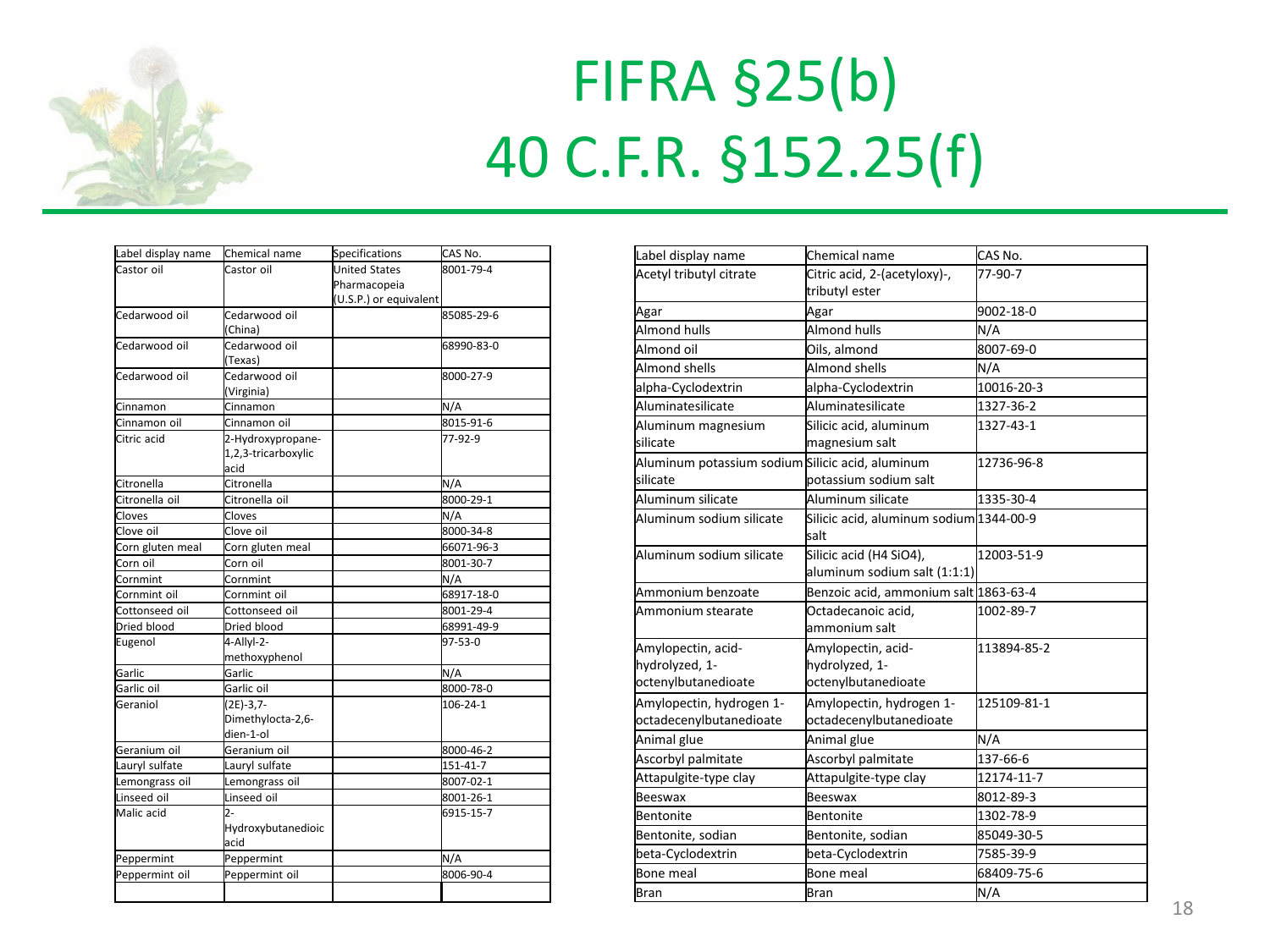

## FIFRA §25(b) 40 C.F.R. §152.25(f)

| Label display name | Chemical name       | <b>Specifications</b>  | <b>I</b> CAS No. |
|--------------------|---------------------|------------------------|------------------|
| Castor oil         | Castor oil          | <b>United States</b>   | 8001-79-4        |
|                    |                     | Pharmacopeia           |                  |
|                    |                     | (U.S.P.) or equivalent |                  |
| Cedarwood oil      | Cedarwood oil       |                        | 85085-29-6       |
|                    | (China)             |                        |                  |
| Cedarwood oil      | Cedarwood oil       |                        | 68990-83-0       |
|                    | (Texas)             |                        |                  |
| Cedarwood oil      | Cedarwood oil       |                        | 8000-27-9        |
|                    | (Virginia)          |                        |                  |
| Cinnamon           | Cinnamon            |                        | N/A              |
| Cinnamon oil       | Cinnamon oil        |                        | 8015-91-6        |
| Citric acid        | 2-Hydroxypropane-   |                        | 77-92-9          |
|                    | 1,2,3-tricarboxylic |                        |                  |
|                    | acid                |                        |                  |
| Citronella         | Citronella          |                        | N/A              |
| Citronella oil     | Citronella oil      |                        | 8000-29-1        |
| Cloves             | Cloves              |                        | N/A              |
| Clove oil          | Clove oil           |                        | 8000-34-8        |
| Corn gluten meal   | Corn gluten meal    |                        | 66071-96-3       |
| Corn oil           | Corn oil            |                        | 8001-30-7        |
| Cornmint           | Cornmint            |                        | N/A              |
| Cornmint oil       | Cornmint oil        |                        | 68917-18-0       |
| Cottonseed oil     | Cottonseed oil      |                        | 8001-29-4        |
| Dried blood        | Dried blood         |                        | 68991-49-9       |
| Eugenol            | 4-Allyl-2-          |                        | 97-53-0          |
|                    | methoxyphenol       |                        |                  |
| Garlic             | Garlic              |                        | N/A              |
| Garlic oil         | Garlic oil          |                        | 8000-78-0        |
| Geraniol           | $(2E)-3,7-$         |                        | $106 - 24 - 1$   |
|                    | Dimethylocta-2,6-   |                        |                  |
|                    | dien-1-ol           |                        |                  |
| Geranium oil       | Geranium oil        |                        | 8000-46-2        |
| Lauryl sulfate     | Lauryl sulfate      |                        | 151-41-7         |
| Lemongrass oil     | Lemongrass oil      |                        | 8007-02-1        |
| Linseed oil        | Linseed oil         |                        | 8001-26-1        |
| Malic acid         | 2-                  |                        | 6915-15-7        |
|                    | Hydroxybutanedioic  |                        |                  |
|                    | acid                |                        |                  |
| Peppermint         | Peppermint          |                        | N/A              |
| Peppermint oil     | Peppermint oil      |                        | 8006-90-4        |
|                    |                     |                        |                  |
|                    |                     |                        |                  |

| Label display name                                           | Chemical name                                               | CAS No.     |
|--------------------------------------------------------------|-------------------------------------------------------------|-------------|
| Acetyl tributyl citrate                                      | Citric acid, 2-(acetyloxy)-,<br>tributyl ester              | 77-90-7     |
| Agar                                                         | Agar                                                        | 9002-18-0   |
| Almond hulls                                                 | Almond hulls                                                | N/A         |
| Almond oil                                                   | Oils, almond                                                | 8007-69-0   |
| Almond shells                                                | Almond shells                                               | N/A         |
| alpha-Cyclodextrin                                           | alpha-Cyclodextrin                                          | 10016-20-3  |
| Aluminatesilicate                                            | Aluminatesilicate                                           | 1327-36-2   |
| Aluminum magnesium<br>silicate                               | Silicic acid, aluminum<br>magnesium salt                    | 1327-43-1   |
| Aluminum potassium sodium Silicic acid, aluminum<br>silicate | potassium sodium salt                                       | 12736-96-8  |
| Aluminum silicate                                            | Aluminum silicate                                           | 1335-30-4   |
| Aluminum sodium silicate                                     | Silicic acid, aluminum sodium 1344-00-9<br>salt             |             |
| Aluminum sodium silicate                                     | Silicic acid (H4 SiO4),<br>aluminum sodium salt (1:1:1)     | 12003-51-9  |
| Ammonium benzoate                                            | Benzoic acid, ammonium salt 1863-63-4                       |             |
| Ammonium stearate                                            | Octadecanoic acid,<br>ammonium salt                         | 1002-89-7   |
| Amylopectin, acid-<br>hydrolyzed, 1-<br>octenylbutanedioate  | Amylopectin, acid-<br>hydrolyzed, 1-<br>octenylbutanedioate | 113894-85-2 |
| Amylopectin, hydrogen 1-<br>octadecenylbutanedioate          | Amylopectin, hydrogen 1-<br>octadecenylbutanedioate         | 125109-81-1 |
| Animal glue                                                  | Animal glue                                                 | N/A         |
| Ascorbyl palmitate                                           | Ascorbyl palmitate                                          | 137-66-6    |
| Attapulgite-type clay                                        | Attapulgite-type clay                                       | 12174-11-7  |
| <b>Beeswax</b>                                               | Beeswax                                                     | 8012-89-3   |
| Bentonite                                                    | Bentonite                                                   | 1302-78-9   |
| Bentonite, sodian                                            | Bentonite, sodian                                           | 85049-30-5  |
| beta-Cyclodextrin                                            | beta-Cyclodextrin                                           | 7585-39-9   |
| <b>Bone meal</b>                                             | Bone meal                                                   | 68409-75-6  |
| <b>Bran</b>                                                  | Bran                                                        | N/A         |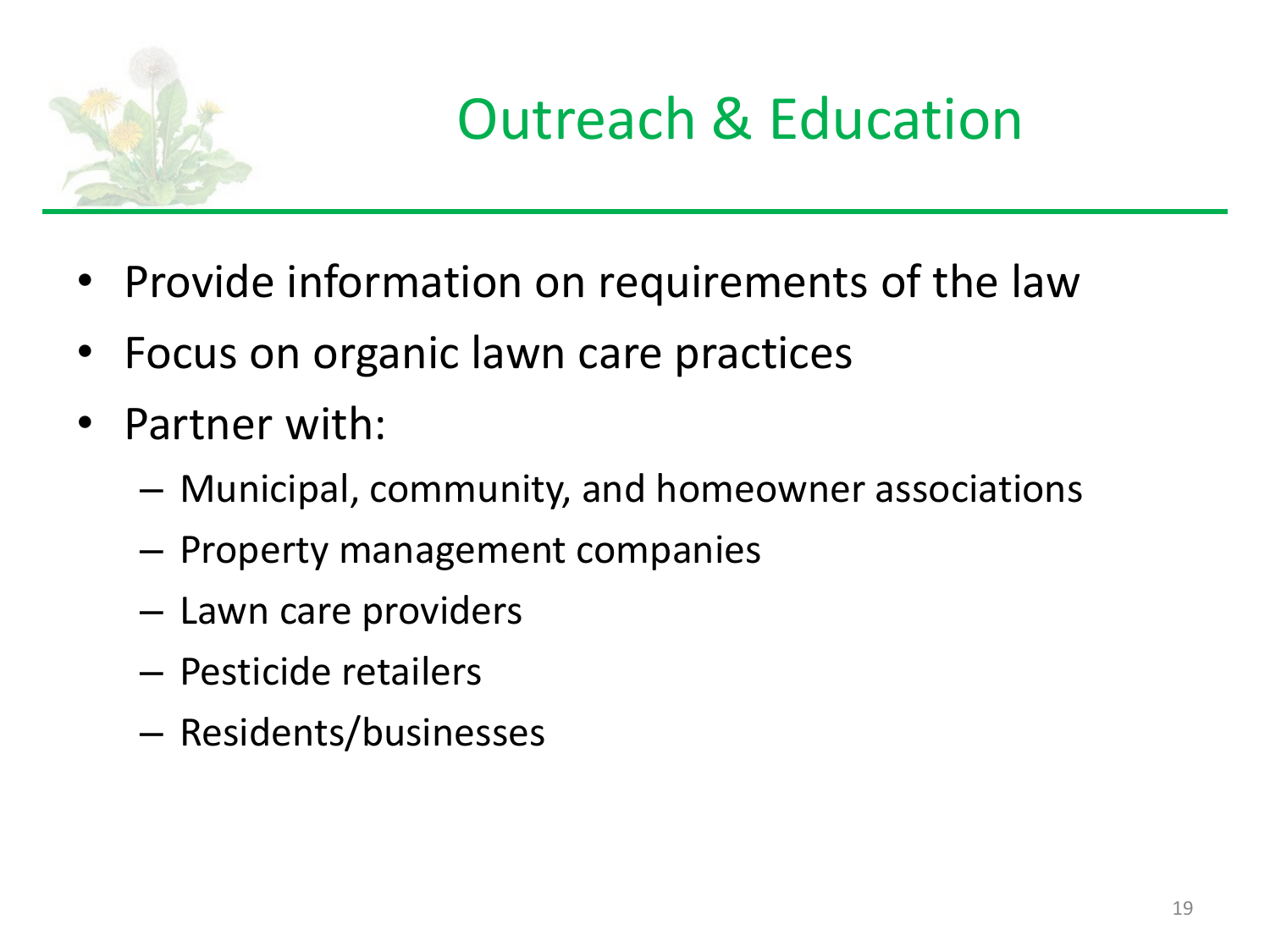

#### Outreach & Education

- Provide information on requirements of the law
- Focus on organic lawn care practices
- Partner with:
	- Municipal, community, and homeowner associations
	- Property management companies
	- Lawn care providers
	- Pesticide retailers
	- Residents/businesses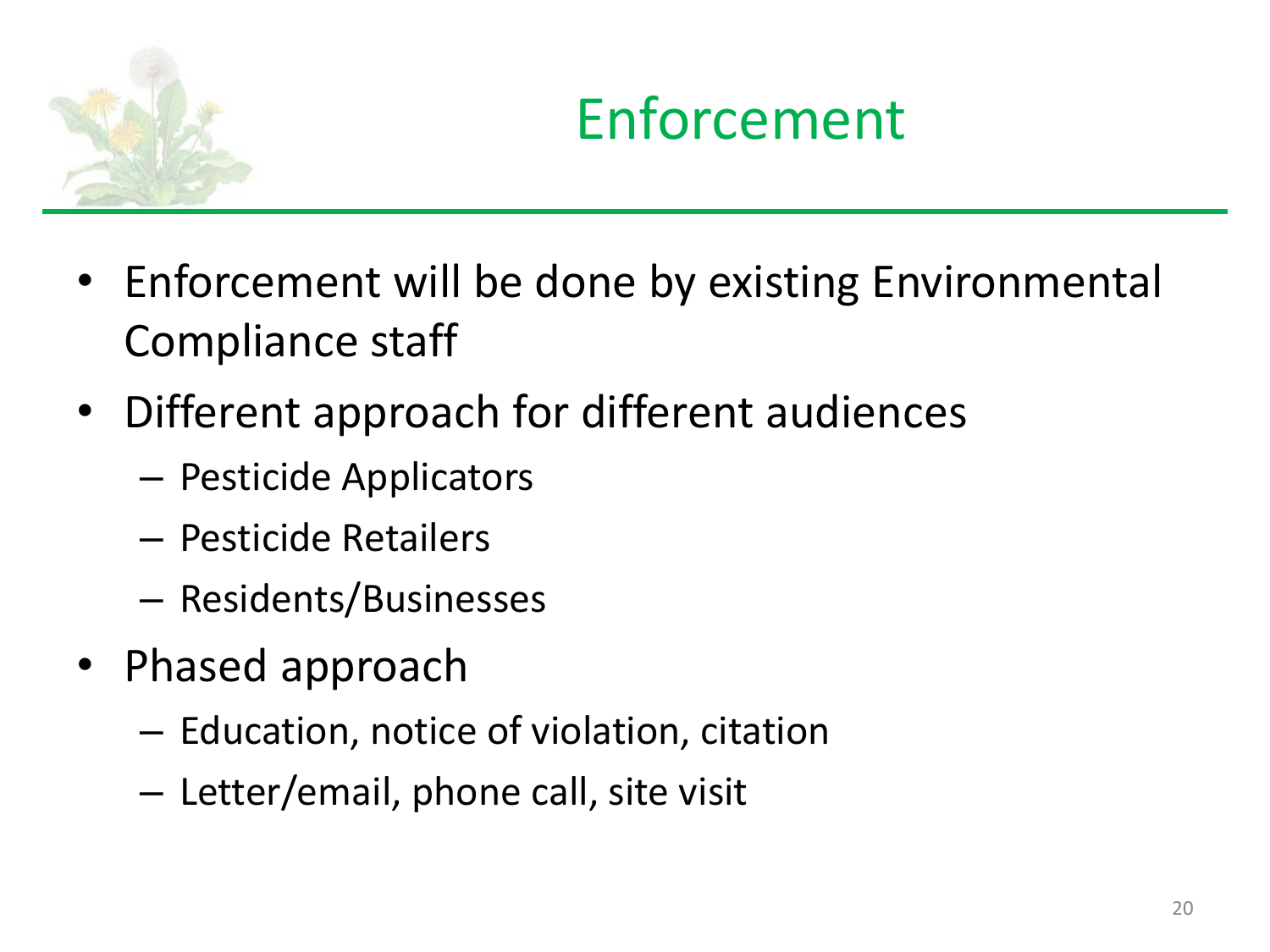

#### Enforcement

- Enforcement will be done by existing Environmental Compliance staff
- Different approach for different audiences
	- Pesticide Applicators
	- Pesticide Retailers
	- Residents/Businesses
- Phased approach
	- Education, notice of violation, citation
	- Letter/email, phone call, site visit